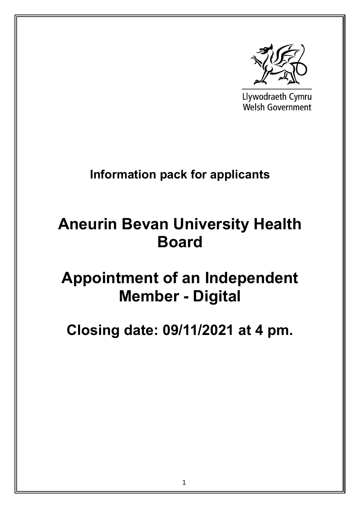

Llywodraeth Cymru **Welsh Government** 

## **Information pack for applicants**

# **Aneurin Bevan University Health Board**

# **Appointment of an Independent Member - Digital**

**Closing date: 09/11/2021 at 4 pm.**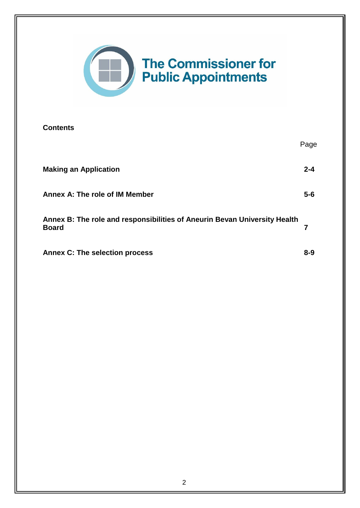

#### **Contents**

|                                                                                           | Page    |
|-------------------------------------------------------------------------------------------|---------|
| <b>Making an Application</b>                                                              | $2 - 4$ |
| Annex A: The role of IM Member                                                            | $5-6$   |
| Annex B: The role and responsibilities of Aneurin Bevan University Health<br><b>Board</b> | 7       |
| <b>Annex C: The selection process</b>                                                     | $8 - 9$ |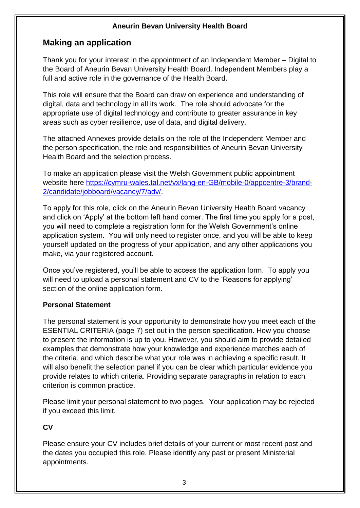## **Making an application**

Thank you for your interest in the appointment of an Independent Member – Digital to the Board of Aneurin Bevan University Health Board. Independent Members play a full and active role in the governance of the Health Board.

This role will ensure that the Board can draw on experience and understanding of digital, data and technology in all its work. The role should advocate for the appropriate use of digital technology and contribute to greater assurance in key areas such as cyber resilience, use of data, and digital delivery.

The attached Annexes provide details on the role of the Independent Member and the person specification, the role and responsibilities of Aneurin Bevan University Health Board and the selection process.

To make an application please visit the Welsh Government public appointment website here [https://cymru-wales.tal.net/vx/lang-en-GB/mobile-0/appcentre-3/brand-](https://cymru-wales.tal.net/vx/lang-en-GB/mobile-0/appcentre-3/brand-2/candidate/jobboard/vacancy/7/adv/)[2/candidate/jobboard/vacancy/7/adv/.](https://cymru-wales.tal.net/vx/lang-en-GB/mobile-0/appcentre-3/brand-2/candidate/jobboard/vacancy/7/adv/)

To apply for this role, click on the Aneurin Bevan University Health Board vacancy and click on 'Apply' at the bottom left hand corner. The first time you apply for a post, you will need to complete a registration form for the Welsh Government's online application system. You will only need to register once, and you will be able to keep yourself updated on the progress of your application, and any other applications you make, via your registered account.

Once you've registered, you'll be able to access the application form. To apply you will need to upload a personal statement and CV to the 'Reasons for applying' section of the online application form.

#### **Personal Statement**

The personal statement is your opportunity to demonstrate how you meet each of the ESENTIAL CRITERIA (page 7) set out in the person specification. How you choose to present the information is up to you. However, you should aim to provide detailed examples that demonstrate how your knowledge and experience matches each of the criteria, and which describe what your role was in achieving a specific result. It will also benefit the selection panel if you can be clear which particular evidence you provide relates to which criteria. Providing separate paragraphs in relation to each criterion is common practice.

Please limit your personal statement to two pages. Your application may be rejected if you exceed this limit.

## **CV**

Please ensure your CV includes brief details of your current or most recent post and the dates you occupied this role. Please identify any past or present Ministerial appointments.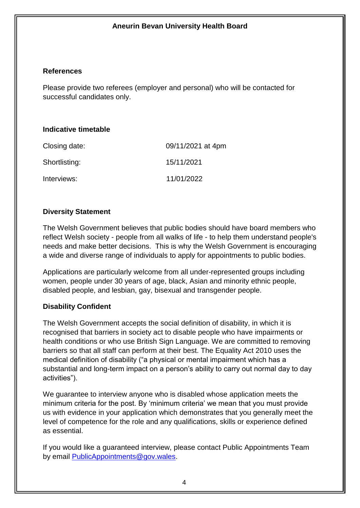#### **References**

Please provide two referees (employer and personal) who will be contacted for successful candidates only.

#### **Indicative timetable**

| Closing date: | 09/11/2021 at 4pm |
|---------------|-------------------|
| Shortlisting: | 15/11/2021        |
| Interviews:   | 11/01/2022        |

#### **Diversity Statement**

The Welsh Government believes that public bodies should have board members who reflect Welsh society - people from all walks of life - to help them understand people's needs and make better decisions. This is why the Welsh Government is encouraging a wide and diverse range of individuals to apply for appointments to public bodies.

Applications are particularly welcome from all under-represented groups including women, people under 30 years of age, black, Asian and minority ethnic people, disabled people, and lesbian, gay, bisexual and transgender people.

#### **Disability Confident**

The Welsh Government accepts the social definition of disability, in which it is recognised that barriers in society act to disable people who have impairments or health conditions or who use British Sign Language. We are committed to removing barriers so that all staff can perform at their best. The Equality Act 2010 uses the medical definition of disability ("a physical or mental impairment which has a substantial and long-term impact on a person's ability to carry out normal day to day activities").

We guarantee to interview anyone who is disabled whose application meets the minimum criteria for the post. By 'minimum criteria' we mean that you must provide us with evidence in your application which demonstrates that you generally meet the level of competence for the role and any qualifications, skills or experience defined as essential.

If you would like a guaranteed interview, please contact Public Appointments Team by email [PublicAppointments@gov.wales.](mailto:PublicAppointments@gov.wales)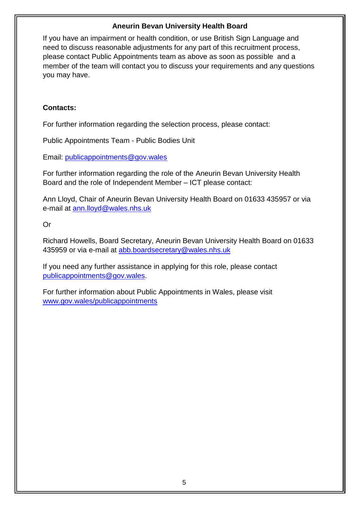If you have an impairment or health condition, or use British Sign Language and need to discuss reasonable adjustments for any part of this recruitment process, please contact Public Appointments team as above as soon as possible and a member of the team will contact you to discuss your requirements and any questions you may have.

#### **Contacts:**

For further information regarding the selection process, please contact:

Public Appointments Team - Public Bodies Unit

Email: [publicappointments@gov.wales](mailto:publicappointments@gov.wales)

For further information regarding the role of the Aneurin Bevan University Health Board and the role of Independent Member – ICT please contact:

Ann Lloyd, Chair of Aneurin Bevan University Health Board on 01633 435957 or via e-mail at [ann.lloyd@wales.nhs.uk](mailto:ann.lloyd@wales.nhs.uk)

Or

Richard Howells, Board Secretary, Aneurin Bevan University Health Board on 01633 435959 or via e-mail at [abb.boardsecretary@wales.nhs.uk](mailto:abb.boardsecretary@wales.nhs.uk)

If you need any further assistance in applying for this role, please contact [publicappointments@gov.wales.](mailto:publicappointments@gov.wales)

For further information about Public Appointments in Wales, please visit [www.gov.wales/publicappointments](http://www.gov.wales/publicappointments)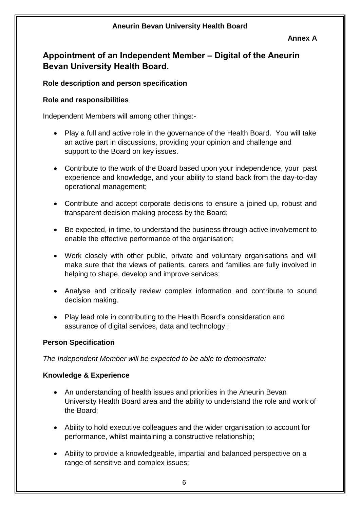#### **Annex A**

## **Appointment of an Independent Member – Digital of the Aneurin Bevan University Health Board.**

#### **Role description and person specification**

#### **Role and responsibilities**

Independent Members will among other things:-

- Play a full and active role in the governance of the Health Board. You will take an active part in discussions, providing your opinion and challenge and support to the Board on key issues.
- Contribute to the work of the Board based upon your independence, your past experience and knowledge, and your ability to stand back from the day-to-day operational management;
- Contribute and accept corporate decisions to ensure a joined up, robust and transparent decision making process by the Board;
- Be expected, in time, to understand the business through active involvement to enable the effective performance of the organisation;
- Work closely with other public, private and voluntary organisations and will make sure that the views of patients, carers and families are fully involved in helping to shape, develop and improve services;
- Analyse and critically review complex information and contribute to sound decision making.
- Play lead role in contributing to the Health Board's consideration and assurance of digital services, data and technology ;

#### **Person Specification**

*The Independent Member will be expected to be able to demonstrate:*

#### **Knowledge & Experience**

- An understanding of health issues and priorities in the Aneurin Bevan University Health Board area and the ability to understand the role and work of the Board;
- Ability to hold executive colleagues and the wider organisation to account for performance, whilst maintaining a constructive relationship;
- Ability to provide a knowledgeable, impartial and balanced perspective on a range of sensitive and complex issues;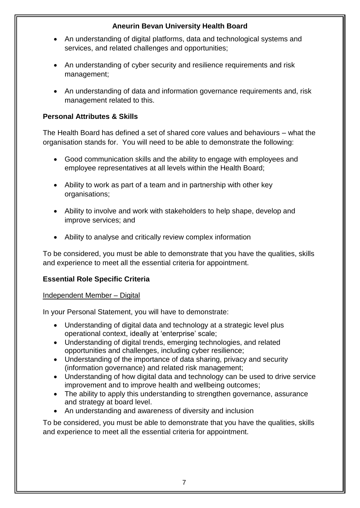- An understanding of digital platforms, data and technological systems and services, and related challenges and opportunities;
- An understanding of cyber security and resilience requirements and risk management;
- An understanding of data and information governance requirements and, risk management related to this.

## **Personal Attributes & Skills**

The Health Board has defined a set of shared core values and behaviours – what the organisation stands for. You will need to be able to demonstrate the following:

- Good communication skills and the ability to engage with employees and employee representatives at all levels within the Health Board;
- Ability to work as part of a team and in partnership with other key organisations;
- Ability to involve and work with stakeholders to help shape, develop and improve services; and
- Ability to analyse and critically review complex information

To be considered, you must be able to demonstrate that you have the qualities, skills and experience to meet all the essential criteria for appointment.

#### **Essential Role Specific Criteria**

#### Independent Member – Digital

In your Personal Statement, you will have to demonstrate:

- Understanding of digital data and technology at a strategic level plus operational context, ideally at 'enterprise' scale;
- Understanding of digital trends, emerging technologies, and related opportunities and challenges, including cyber resilience;
- Understanding of the importance of data sharing, privacy and security (information governance) and related risk management;
- Understanding of how digital data and technology can be used to drive service improvement and to improve health and wellbeing outcomes;
- The ability to apply this understanding to strengthen governance, assurance and strategy at board level.
- An understanding and awareness of diversity and inclusion

To be considered, you must be able to demonstrate that you have the qualities, skills and experience to meet all the essential criteria for appointment.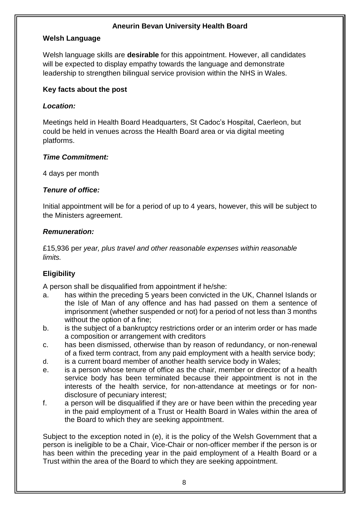#### **Welsh Language**

Welsh language skills are **desirable** for this appointment. However, all candidates will be expected to display empathy towards the language and demonstrate leadership to strengthen bilingual service provision within the NHS in Wales.

#### **Key facts about the post**

#### *Location:*

Meetings held in Health Board Headquarters, St Cadoc's Hospital, Caerleon, but could be held in venues across the Health Board area or via digital meeting platforms.

#### *Time Commitment:*

4 days per month

#### *Tenure of office:*

Initial appointment will be for a period of up to 4 years, however, this will be subject to the Ministers agreement.

#### *Remuneration:*

£15,936 per *year, plus travel and other reasonable expenses within reasonable limits.* 

#### **Eligibility**

A person shall be disqualified from appointment if he/she:

- a. has within the preceding 5 years been convicted in the UK, Channel Islands or the Isle of Man of any offence and has had passed on them a sentence of imprisonment (whether suspended or not) for a period of not less than 3 months without the option of a fine;
- b. is the subject of a bankruptcy restrictions order or an interim order or has made a composition or arrangement with creditors
- c. has been dismissed, otherwise than by reason of redundancy, or non-renewal of a fixed term contract, from any paid employment with a health service body;
- d. is a current board member of another health service body in Wales;
- e. is a person whose tenure of office as the chair, member or director of a health service body has been terminated because their appointment is not in the interests of the health service, for non-attendance at meetings or for nondisclosure of pecuniary interest;
- f. a person will be disqualified if they are or have been within the preceding year in the paid employment of a Trust or Health Board in Wales within the area of the Board to which they are seeking appointment.

Subject to the exception noted in (e), it is the policy of the Welsh Government that a person is ineligible to be a Chair, Vice-Chair or non-officer member if the person is or has been within the preceding year in the paid employment of a Health Board or a Trust within the area of the Board to which they are seeking appointment.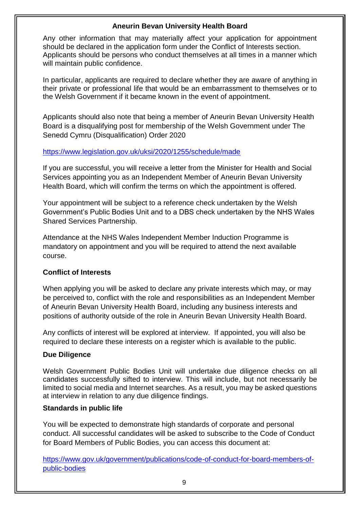Any other information that may materially affect your application for appointment should be declared in the application form under the Conflict of Interests section. Applicants should be persons who conduct themselves at all times in a manner which will maintain public confidence.

In particular, applicants are required to declare whether they are aware of anything in their private or professional life that would be an embarrassment to themselves or to the Welsh Government if it became known in the event of appointment.

Applicants should also note that being a member of Aneurin Bevan University Health Board is a disqualifying post for membership of the Welsh Government under The Senedd Cymru (Disqualification) Order 2020

#### <https://www.legislation.gov.uk/uksi/2020/1255/schedule/made>

If you are successful, you will receive a letter from the Minister for Health and Social Services appointing you as an Independent Member of Aneurin Bevan University Health Board, which will confirm the terms on which the appointment is offered.

Your appointment will be subject to a reference check undertaken by the Welsh Government's Public Bodies Unit and to a DBS check undertaken by the NHS Wales Shared Services Partnership.

Attendance at the NHS Wales Independent Member Induction Programme is mandatory on appointment and you will be required to attend the next available course.

#### **Conflict of Interests**

When applying you will be asked to declare any private interests which may, or may be perceived to, conflict with the role and responsibilities as an Independent Member of Aneurin Bevan University Health Board, including any business interests and positions of authority outside of the role in Aneurin Bevan University Health Board.

Any conflicts of interest will be explored at interview. If appointed, you will also be required to declare these interests on a register which is available to the public.

#### **Due Diligence**

Welsh Government Public Bodies Unit will undertake due diligence checks on all candidates successfully sifted to interview. This will include, but not necessarily be limited to social media and Internet searches. As a result, you may be asked questions at interview in relation to any due diligence findings.

#### **Standards in public life**

You will be expected to demonstrate high standards of corporate and personal conduct. All successful candidates will be asked to subscribe to the Code of Conduct for Board Members of Public Bodies, you can access this document at:

[https://www.gov.uk/government/publications/code-of-conduct-for-board-members-of](https://www.gov.uk/government/publications/code-of-conduct-for-board-members-of-public-bodies)[public-bodies](https://www.gov.uk/government/publications/code-of-conduct-for-board-members-of-public-bodies)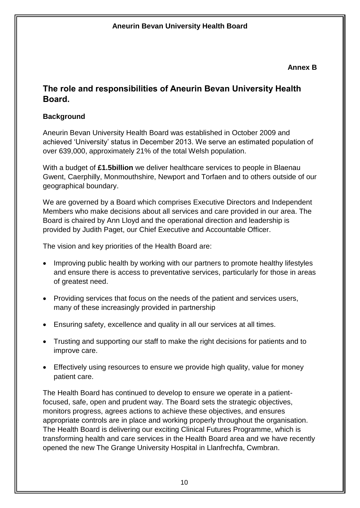#### **Annex B**

## **The role and responsibilities of Aneurin Bevan University Health Board.**

## **Background**

Aneurin Bevan University Health Board was established in October 2009 and achieved 'University' status in December 2013. We serve an estimated population of over 639,000, approximately 21% of the total Welsh population.

With a budget of **£1.5billion** we deliver healthcare services to people in Blaenau Gwent, Caerphilly, Monmouthshire, Newport and Torfaen and to others outside of our geographical boundary.

We are governed by a Board which comprises Executive Directors and Independent Members who make decisions about all services and care provided in our area. The Board is chaired by Ann Lloyd and the operational direction and leadership is provided by Judith Paget, our Chief Executive and Accountable Officer.

The vision and key priorities of the Health Board are:

- Improving public health by working with our partners to promote healthy lifestyles and ensure there is access to preventative services, particularly for those in areas of greatest need.
- Providing services that focus on the needs of the patient and services users, many of these increasingly provided in partnership
- Ensuring safety, excellence and quality in all our services at all times.
- Trusting and supporting our staff to make the right decisions for patients and to improve care.
- Effectively using resources to ensure we provide high quality, value for money patient care.

The Health Board has continued to develop to ensure we operate in a patientfocused, safe, open and prudent way. The Board sets the strategic objectives, monitors progress, agrees actions to achieve these objectives, and ensures appropriate controls are in place and working properly throughout the organisation. The Health Board is delivering our exciting Clinical Futures Programme, which is transforming health and care services in the Health Board area and we have recently opened the new The Grange University Hospital in Llanfrechfa, Cwmbran.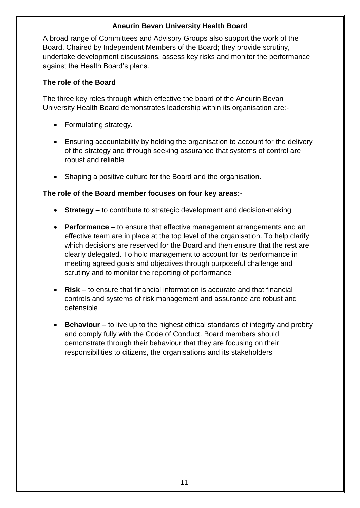A broad range of Committees and Advisory Groups also support the work of the Board. Chaired by Independent Members of the Board; they provide scrutiny, undertake development discussions, assess key risks and monitor the performance against the Health Board's plans.

#### **The role of the Board**

The three key roles through which effective the board of the Aneurin Bevan University Health Board demonstrates leadership within its organisation are:-

- Formulating strategy.
- Ensuring accountability by holding the organisation to account for the delivery of the strategy and through seeking assurance that systems of control are robust and reliable
- Shaping a positive culture for the Board and the organisation.

#### **The role of the Board member focuses on four key areas:-**

- **Strategy –** to contribute to strategic development and decision-making
- **Performance –** to ensure that effective management arrangements and an effective team are in place at the top level of the organisation. To help clarify which decisions are reserved for the Board and then ensure that the rest are clearly delegated. To hold management to account for its performance in meeting agreed goals and objectives through purposeful challenge and scrutiny and to monitor the reporting of performance
- **Risk** to ensure that financial information is accurate and that financial controls and systems of risk management and assurance are robust and defensible
- **Behaviour** to live up to the highest ethical standards of integrity and probity and comply fully with the Code of Conduct. Board members should demonstrate through their behaviour that they are focusing on their responsibilities to citizens, the organisations and its stakeholders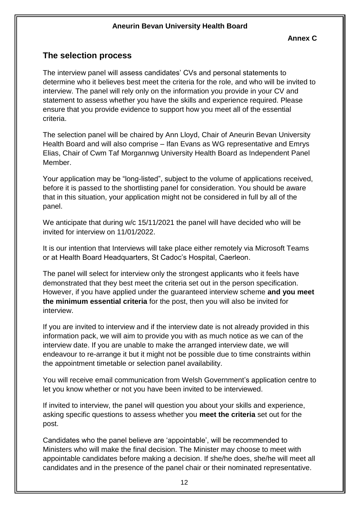## **The selection process**

The interview panel will assess candidates' CVs and personal statements to determine who it believes best meet the criteria for the role, and who will be invited to interview. The panel will rely only on the information you provide in your CV and statement to assess whether you have the skills and experience required. Please ensure that you provide evidence to support how you meet all of the essential criteria.

The selection panel will be chaired by Ann Lloyd, Chair of Aneurin Bevan University Health Board and will also comprise – Ifan Evans as WG representative and Emrys Elias, Chair of Cwm Taf Morgannwg University Health Board as Independent Panel Member.

Your application may be "long-listed", subject to the volume of applications received, before it is passed to the shortlisting panel for consideration. You should be aware that in this situation, your application might not be considered in full by all of the panel.

We anticipate that during w/c 15/11/2021 the panel will have decided who will be invited for interview on 11/01/2022.

It is our intention that Interviews will take place either remotely via Microsoft Teams or at Health Board Headquarters, St Cadoc's Hospital, Caerleon.

The panel will select for interview only the strongest applicants who it feels have demonstrated that they best meet the criteria set out in the person specification. However, if you have applied under the guaranteed interview scheme **and you meet the minimum essential criteria** for the post, then you will also be invited for interview.

If you are invited to interview and if the interview date is not already provided in this information pack, we will aim to provide you with as much notice as we can of the interview date. If you are unable to make the arranged interview date, we will endeavour to re-arrange it but it might not be possible due to time constraints within the appointment timetable or selection panel availability.

You will receive email communication from Welsh Government's application centre to let you know whether or not you have been invited to be interviewed.

If invited to interview, the panel will question you about your skills and experience, asking specific questions to assess whether you **meet the criteria** set out for the post.

Candidates who the panel believe are 'appointable', will be recommended to Ministers who will make the final decision. The Minister may choose to meet with appointable candidates before making a decision. If she/he does, she/he will meet all candidates and in the presence of the panel chair or their nominated representative.